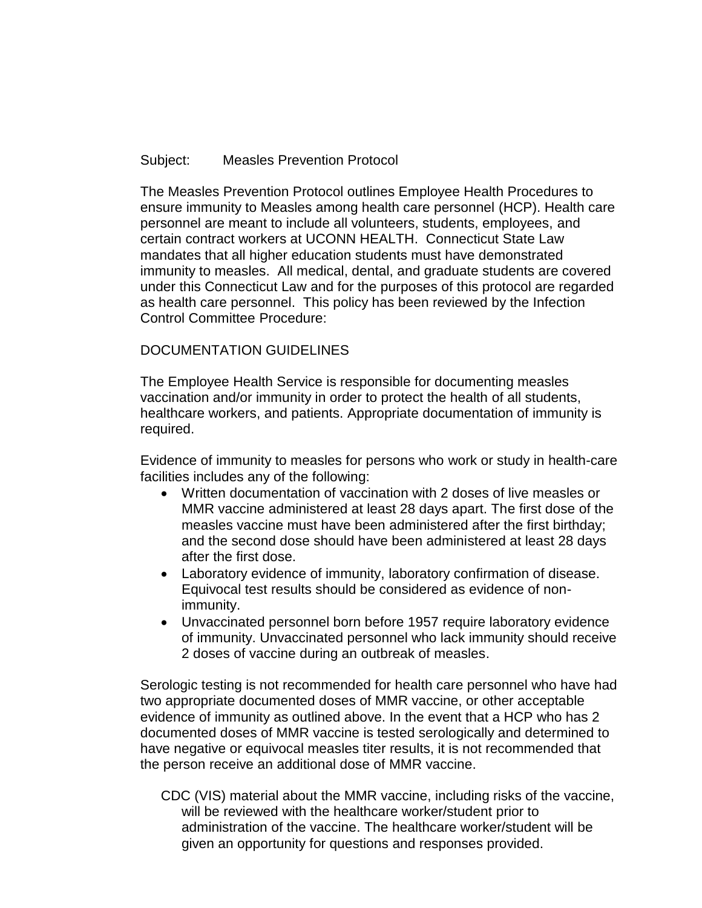## Subject: Measles Prevention Protocol

The Measles Prevention Protocol outlines Employee Health Procedures to ensure immunity to Measles among health care personnel (HCP). Health care personnel are meant to include all volunteers, students, employees, and certain contract workers at UCONN HEALTH. Connecticut State Law mandates that all higher education students must have demonstrated immunity to measles. All medical, dental, and graduate students are covered under this Connecticut Law and for the purposes of this protocol are regarded as health care personnel. This policy has been reviewed by the Infection Control Committee Procedure:

## DOCUMENTATION GUIDELINES

The Employee Health Service is responsible for documenting measles vaccination and/or immunity in order to protect the health of all students, healthcare workers, and patients. Appropriate documentation of immunity is required.

Evidence of immunity to measles for persons who work or study in health-care facilities includes any of the following:

- Written documentation of vaccination with 2 doses of live measles or MMR vaccine administered at least 28 days apart. The first dose of the measles vaccine must have been administered after the first birthday; and the second dose should have been administered at least 28 days after the first dose.
- Laboratory evidence of immunity, laboratory confirmation of disease. Equivocal test results should be considered as evidence of nonimmunity.
- Unvaccinated personnel born before 1957 require laboratory evidence of immunity. Unvaccinated personnel who lack immunity should receive 2 doses of vaccine during an outbreak of measles.

Serologic testing is not recommended for health care personnel who have had two appropriate documented doses of MMR vaccine, or other acceptable evidence of immunity as outlined above. In the event that a HCP who has 2 documented doses of MMR vaccine is tested serologically and determined to have negative or equivocal measles titer results, it is not recommended that the person receive an additional dose of MMR vaccine.

CDC (VIS) material about the MMR vaccine, including risks of the vaccine, will be reviewed with the healthcare worker/student prior to administration of the vaccine. The healthcare worker/student will be given an opportunity for questions and responses provided.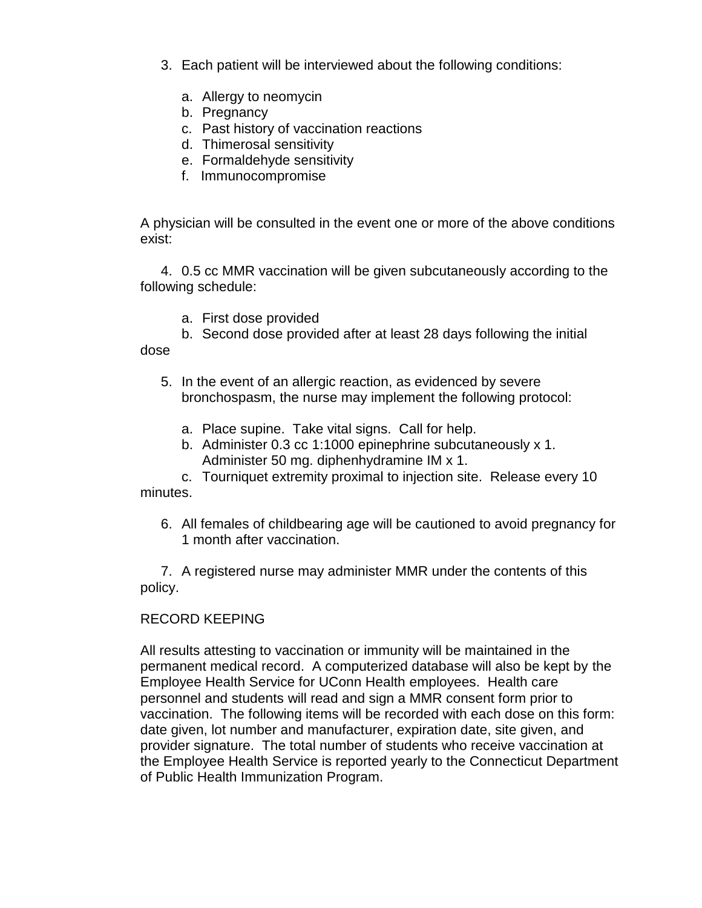- 3. Each patient will be interviewed about the following conditions:
	- a. Allergy to neomycin
	- b. Pregnancy
	- c. Past history of vaccination reactions
	- d. Thimerosal sensitivity
	- e. Formaldehyde sensitivity
	- f. Immunocompromise

A physician will be consulted in the event one or more of the above conditions exist:

4. 0.5 cc MMR vaccination will be given subcutaneously according to the following schedule:

- a. First dose provided
- b. Second dose provided after at least 28 days following the initial

dose

- 5. In the event of an allergic reaction, as evidenced by severe bronchospasm, the nurse may implement the following protocol:
	- a. Place supine. Take vital signs. Call for help.
	- b. Administer 0.3 cc 1:1000 epinephrine subcutaneously x 1. Administer 50 mg. diphenhydramine IM x 1.

c. Tourniquet extremity proximal to injection site. Release every 10 minutes.

6. All females of childbearing age will be cautioned to avoid pregnancy for 1 month after vaccination.

7. A registered nurse may administer MMR under the contents of this policy.

## RECORD KEEPING

All results attesting to vaccination or immunity will be maintained in the permanent medical record. A computerized database will also be kept by the Employee Health Service for UConn Health employees. Health care personnel and students will read and sign a MMR consent form prior to vaccination. The following items will be recorded with each dose on this form: date given, lot number and manufacturer, expiration date, site given, and provider signature. The total number of students who receive vaccination at the Employee Health Service is reported yearly to the Connecticut Department of Public Health Immunization Program.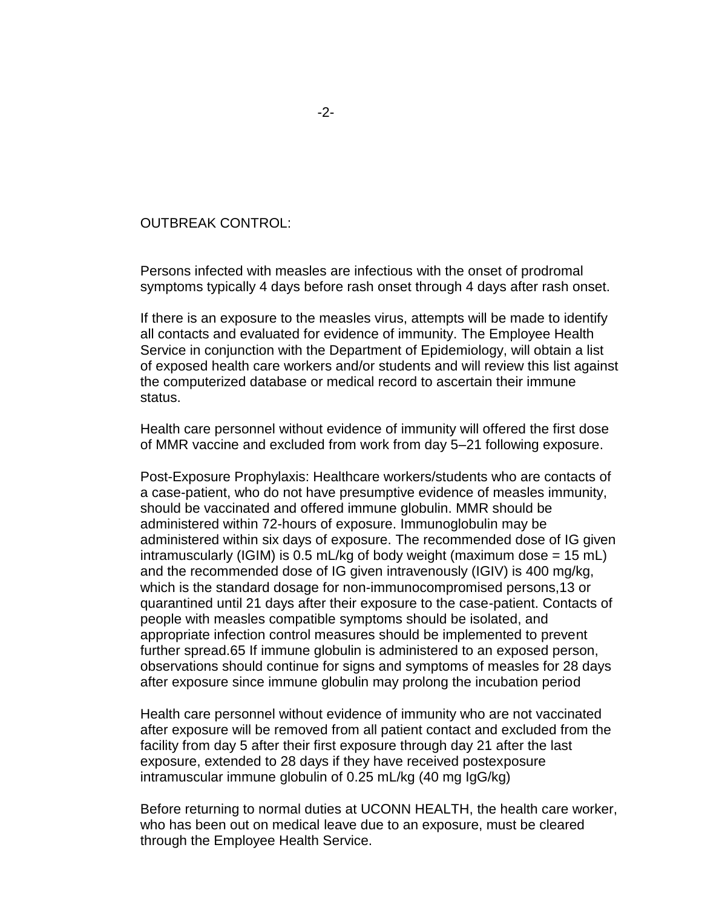## OUTBREAK CONTROL:

Persons infected with measles are infectious with the onset of prodromal symptoms typically 4 days before rash onset through 4 days after rash onset.

If there is an exposure to the measles virus, attempts will be made to identify all contacts and evaluated for evidence of immunity. The Employee Health Service in conjunction with the Department of Epidemiology, will obtain a list of exposed health care workers and/or students and will review this list against the computerized database or medical record to ascertain their immune status.

Health care personnel without evidence of immunity will offered the first dose of MMR vaccine and excluded from work from day 5–21 following exposure.

Post-Exposure Prophylaxis: Healthcare workers/students who are contacts of a case-patient, who do not have presumptive evidence of measles immunity, should be vaccinated and offered immune globulin. MMR should be administered within 72-hours of exposure. Immunoglobulin may be administered within six days of exposure. The recommended dose of IG given intramuscularly (IGIM) is 0.5 mL/kg of body weight (maximum dose  $= 15$  mL) and the recommended dose of IG given intravenously (IGIV) is 400 mg/kg, which is the standard dosage for non-immunocompromised persons,13 or quarantined until 21 days after their exposure to the case-patient. Contacts of people with measles compatible symptoms should be isolated, and appropriate infection control measures should be implemented to prevent further spread.65 If immune globulin is administered to an exposed person, observations should continue for signs and symptoms of measles for 28 days after exposure since immune globulin may prolong the incubation period

Health care personnel without evidence of immunity who are not vaccinated after exposure will be removed from all patient contact and excluded from the facility from day 5 after their first exposure through day 21 after the last exposure, extended to 28 days if they have received postexposure intramuscular immune globulin of 0.25 mL/kg (40 mg IgG/kg)

Before returning to normal duties at UCONN HEALTH, the health care worker, who has been out on medical leave due to an exposure, must be cleared through the Employee Health Service.